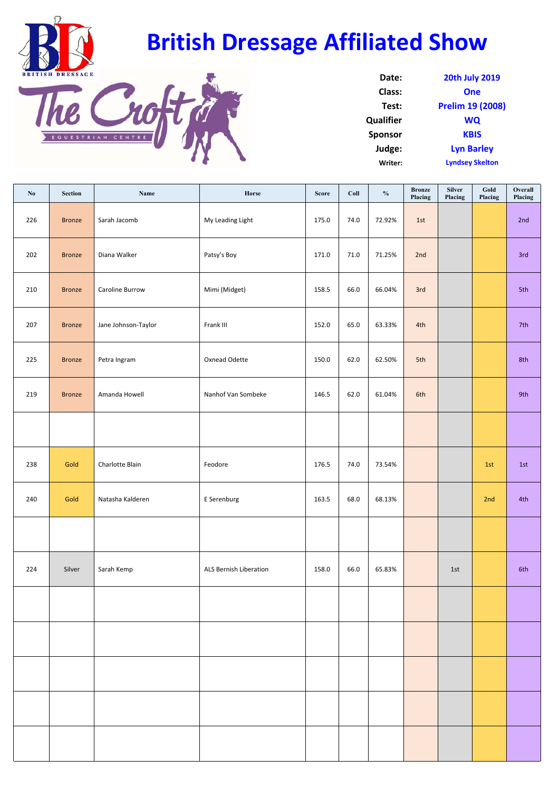



| Date:            | <b>20th July 2019</b>  |
|------------------|------------------------|
| Class:           | One                    |
| Test:            | Prelim 19 (2008)       |
| <b>Qualifier</b> | <b>WQ</b>              |
| <b>Sponsor</b>   | <b>KBIS</b>            |
| Judge:           | <b>Lyn Barley</b>      |
| Writer:          | <b>Lyndsey Skelton</b> |

| No  | Section       | Name                | Horse                  | <b>Score</b> | Coll | $\mathbf{0}_{\mathbf{0}}^{\prime}$ | <b>Bronze</b><br>Placing | <b>Silver</b><br>Placing | $\operatorname{\mathbf{Gold}}$<br>Placing | Overall<br>Placing |
|-----|---------------|---------------------|------------------------|--------------|------|------------------------------------|--------------------------|--------------------------|-------------------------------------------|--------------------|
| 226 | <b>Bronze</b> | Sarah Jacomb        | My Leading Light       | 175.0        | 74.0 | 72.92%                             | 1st                      |                          |                                           | 2nd                |
| 202 | <b>Bronze</b> | Diana Walker        | Patsy's Boy            | 171.0        | 71.0 | 71.25%                             | 2nd                      |                          |                                           | 3rd                |
| 210 | <b>Bronze</b> | Caroline Burrow     | Mimi (Midget)          | 158.5        | 66.0 | 66.04%                             | 3rd                      |                          |                                           | 5th                |
| 207 | <b>Bronze</b> | Jane Johnson-Taylor | Frank III              | 152.0        | 65.0 | 63.33%                             | 4th                      |                          |                                           | 7th                |
| 225 | <b>Bronze</b> | Petra Ingram        | Oxnead Odette          | 150.0        | 62.0 | 62.50%                             | 5th                      |                          |                                           | 8th                |
| 219 | <b>Bronze</b> | Amanda Howell       | Nanhof Van Sombeke     | 146.5        | 62.0 | 61.04%                             | 6th                      |                          |                                           | 9th                |
|     |               |                     |                        |              |      |                                    |                          |                          |                                           |                    |
| 238 | Gold          | Charlotte Blain     | Feodore                | 176.5        | 74.0 | 73.54%                             |                          |                          | 1st                                       | 1st                |
| 240 | Gold          | Natasha Kalderen    | E Serenburg            | 163.5        | 68.0 | 68.13%                             |                          |                          | 2nd                                       | 4th                |
|     |               |                     |                        |              |      |                                    |                          |                          |                                           |                    |
| 224 | Silver        | Sarah Kemp          | ALS Bernish Liberation | 158.0        | 66.0 | 65.83%                             |                          | 1st                      |                                           | 6th                |
|     |               |                     |                        |              |      |                                    |                          |                          |                                           |                    |
|     |               |                     |                        |              |      |                                    |                          |                          |                                           |                    |
|     |               |                     |                        |              |      |                                    |                          |                          |                                           |                    |
|     |               |                     |                        |              |      |                                    |                          |                          |                                           |                    |
|     |               |                     |                        |              |      |                                    |                          |                          |                                           |                    |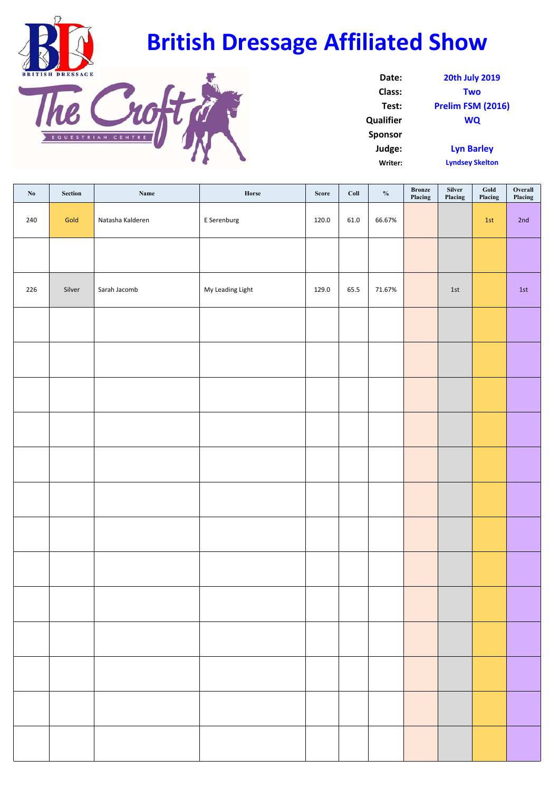



| Date:            | <b>20th July 2019</b>  |
|------------------|------------------------|
| Class:           | <b>Two</b>             |
| Test:            | Prelim FSM (2016)      |
| <b>Qualifier</b> | <b>WQ</b>              |
| <b>Sponsor</b>   |                        |
| Judge:           | <b>Lyn Barley</b>      |
| Writer:          | <b>Lyndsey Skelton</b> |

| $\mathbf{N}\mathbf{0}$ | ${\bf Section}$ | $\mathbf{Name}$  | ${\bf Horse}$    | ${\bf Score}$ | $_{\rm{Coll}}$ | $\mathbf{0}_{\mathbf{0}}^{\prime}$ | $\begin{array}{ll} \textbf{Bronze} \end{array}$<br>Placing | Silver<br>Placing | $_{\rm Gold}$<br>Placing | ${\bf Overall}$<br>Placing |
|------------------------|-----------------|------------------|------------------|---------------|----------------|------------------------------------|------------------------------------------------------------|-------------------|--------------------------|----------------------------|
| 240                    | Gold            | Natasha Kalderen | E Serenburg      | 120.0         | 61.0           | 66.67%                             |                                                            |                   | 1st                      | 2nd                        |
|                        |                 |                  |                  |               |                |                                    |                                                            |                   |                          |                            |
| 226                    | Silver          | Sarah Jacomb     | My Leading Light | 129.0         | 65.5           | 71.67%                             |                                                            | $1st\,$           |                          | $1st$                      |
|                        |                 |                  |                  |               |                |                                    |                                                            |                   |                          |                            |
|                        |                 |                  |                  |               |                |                                    |                                                            |                   |                          |                            |
|                        |                 |                  |                  |               |                |                                    |                                                            |                   |                          |                            |
|                        |                 |                  |                  |               |                |                                    |                                                            |                   |                          |                            |
|                        |                 |                  |                  |               |                |                                    |                                                            |                   |                          |                            |
|                        |                 |                  |                  |               |                |                                    |                                                            |                   |                          |                            |
|                        |                 |                  |                  |               |                |                                    |                                                            |                   |                          |                            |
|                        |                 |                  |                  |               |                |                                    |                                                            |                   |                          |                            |
|                        |                 |                  |                  |               |                |                                    |                                                            |                   |                          |                            |
|                        |                 |                  |                  |               |                |                                    |                                                            |                   |                          |                            |
|                        |                 |                  |                  |               |                |                                    |                                                            |                   |                          |                            |
|                        |                 |                  |                  |               |                |                                    |                                                            |                   |                          |                            |
|                        |                 |                  |                  |               |                |                                    |                                                            |                   |                          |                            |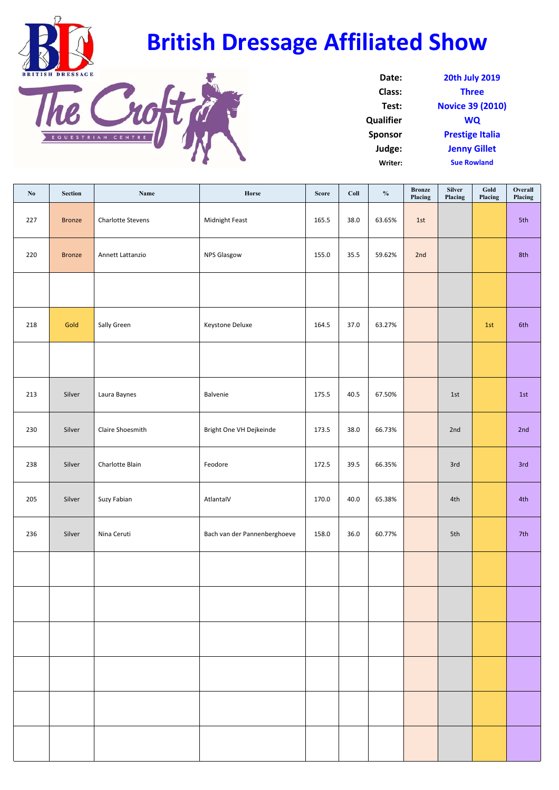



| Date:            | <b>20th July 2019</b>   |
|------------------|-------------------------|
| Class:           | <b>Three</b>            |
| Test:            | <b>Novice 39 (2010)</b> |
| <b>Qualifier</b> | WQ                      |
| <b>Sponsor</b>   | <b>Prestige Italia</b>  |
| Judge:           | <b>Jenny Gillet</b>     |
| Writer:          | <b>Sue Rowland</b>      |

| No  | Section       | Name              | Horse                        | <b>Score</b> | Coll | $\frac{0}{0}$ | <b>Bronze</b><br>Placing | Silver<br>Placing | $\mathbf{Gold}\xspace$<br>Placing | Overall<br>Placing |
|-----|---------------|-------------------|------------------------------|--------------|------|---------------|--------------------------|-------------------|-----------------------------------|--------------------|
| 227 | <b>Bronze</b> | Charlotte Stevens | Midnight Feast               | 165.5        | 38.0 | 63.65%        | 1st                      |                   |                                   | 5th                |
| 220 | <b>Bronze</b> | Annett Lattanzio  | <b>NPS Glasgow</b>           | 155.0        | 35.5 | 59.62%        | 2nd                      |                   |                                   | 8th                |
|     |               |                   |                              |              |      |               |                          |                   |                                   |                    |
| 218 | Gold          | Sally Green       | Keystone Deluxe              | 164.5        | 37.0 | 63.27%        |                          |                   | 1st                               | 6th                |
|     |               |                   |                              |              |      |               |                          |                   |                                   |                    |
| 213 | Silver        | Laura Baynes      | Balvenie                     | 175.5        | 40.5 | 67.50%        |                          | 1st               |                                   | 1st                |
| 230 | Silver        | Claire Shoesmith  | Bright One VH Dejkeinde      | 173.5        | 38.0 | 66.73%        |                          | 2nd               |                                   | 2nd                |
| 238 | Silver        | Charlotte Blain   | Feodore                      | 172.5        | 39.5 | 66.35%        |                          | 3rd               |                                   | 3rd                |
| 205 | Silver        | Suzy Fabian       | AtlantalV                    | 170.0        | 40.0 | 65.38%        |                          | 4th               |                                   | 4th                |
| 236 | Silver        | Nina Ceruti       | Bach van der Pannenberghoeve | 158.0        | 36.0 | 60.77%        |                          | 5th               |                                   | 7th                |
|     |               |                   |                              |              |      |               |                          |                   |                                   |                    |
|     |               |                   |                              |              |      |               |                          |                   |                                   |                    |
|     |               |                   |                              |              |      |               |                          |                   |                                   |                    |
|     |               |                   |                              |              |      |               |                          |                   |                                   |                    |
|     |               |                   |                              |              |      |               |                          |                   |                                   |                    |
|     |               |                   |                              |              |      |               |                          |                   |                                   |                    |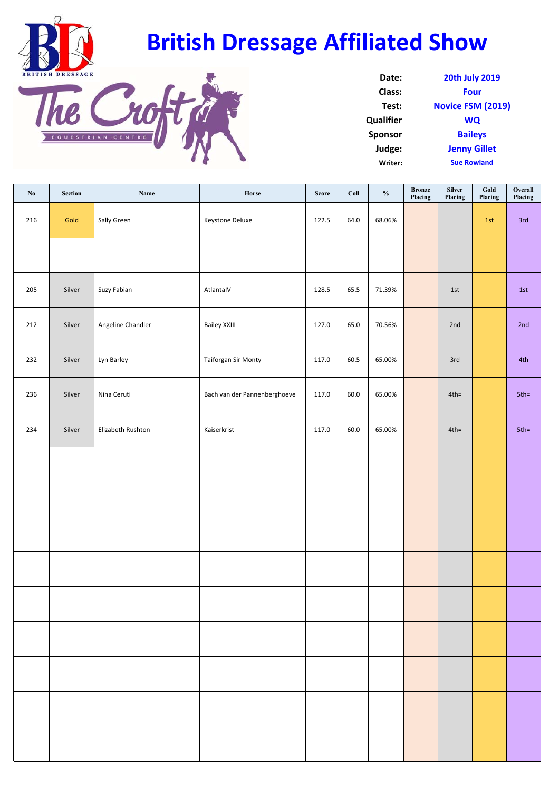



| Date:            | <b>20th July 2019</b>    |
|------------------|--------------------------|
| Class:           | Four                     |
| Test:            | <b>Novice FSM (2019)</b> |
| <b>Qualifier</b> | <b>WQ</b>                |
| <b>Sponsor</b>   | <b>Baileys</b>           |
| Judge:           | <b>Jenny Gillet</b>      |
| Writer:          | <b>Sue Rowland</b>       |
|                  |                          |

| No  | ${\bf Section}$ | Name              | ${\bf Horse}$                | Score | $_{\rm{Coll}}$ | $_{\rm 9/_{\rm 0}}$ | Bronze<br>Placing | <b>Silver</b><br>Placing | $_{\text{Gold}}$<br>Placing | Overall<br>Placing |
|-----|-----------------|-------------------|------------------------------|-------|----------------|---------------------|-------------------|--------------------------|-----------------------------|--------------------|
| 216 | Gold            | Sally Green       | Keystone Deluxe              | 122.5 | 64.0           | 68.06%              |                   |                          | 1st                         | 3rd                |
|     |                 |                   |                              |       |                |                     |                   |                          |                             |                    |
| 205 | Silver          | Suzy Fabian       | AtlantaIV                    | 128.5 | 65.5           | 71.39%              |                   | $1st$                    |                             | $1st$              |
| 212 | Silver          | Angeline Chandler | <b>Bailey XXIII</b>          | 127.0 | 65.0           | 70.56%              |                   | 2nd                      |                             | 2nd                |
| 232 | Silver          | Lyn Barley        | <b>Taiforgan Sir Monty</b>   | 117.0 | 60.5           | 65.00%              |                   | 3rd                      |                             | 4th                |
| 236 | Silver          | Nina Ceruti       | Bach van der Pannenberghoeve | 117.0 | 60.0           | 65.00%              |                   | $4th =$                  |                             | $5th =$            |
| 234 | Silver          | Elizabeth Rushton | Kaiserkrist                  | 117.0 | 60.0           | 65.00%              |                   | $4th =$                  |                             | $5th =$            |
|     |                 |                   |                              |       |                |                     |                   |                          |                             |                    |
|     |                 |                   |                              |       |                |                     |                   |                          |                             |                    |
|     |                 |                   |                              |       |                |                     |                   |                          |                             |                    |
|     |                 |                   |                              |       |                |                     |                   |                          |                             |                    |
|     |                 |                   |                              |       |                |                     |                   |                          |                             |                    |
|     |                 |                   |                              |       |                |                     |                   |                          |                             |                    |
|     |                 |                   |                              |       |                |                     |                   |                          |                             |                    |
|     |                 |                   |                              |       |                |                     |                   |                          |                             |                    |
|     |                 |                   |                              |       |                |                     |                   |                          |                             |                    |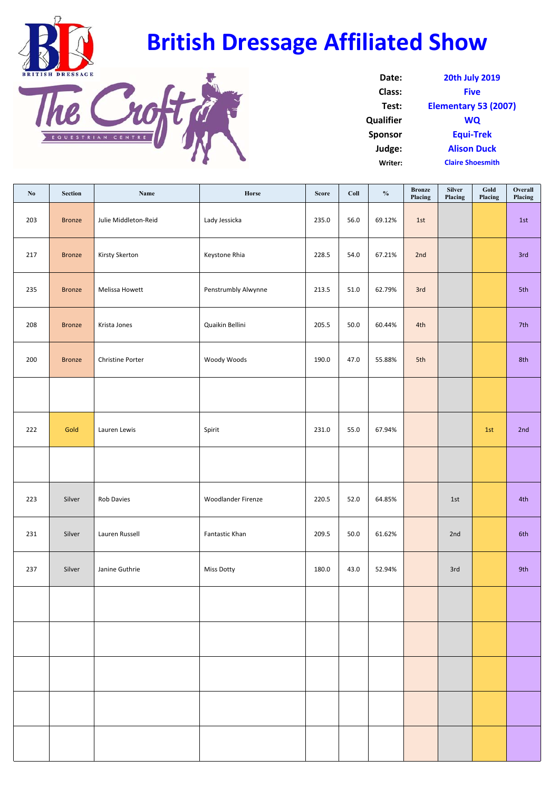



| Date:            | <b>20th July 2019</b>   |
|------------------|-------------------------|
| Class:           | <b>Five</b>             |
| Test:            | Elementary 53 (2007)    |
| <b>Qualifier</b> | <b>WQ</b>               |
| <b>Sponsor</b>   | <b>Equi-Trek</b>        |
| Judge:           | <b>Alison Duck</b>      |
| Writer:          | <b>Claire Shoesmith</b> |

| No  | Section       | Name                 | Horse               | <b>Score</b> | Coll     | $\mathbf{0}_{\mathbf{0}}^{\prime}$ | <b>Bronze</b><br>Placing | <b>Silver</b><br>Placing | $\mathbf{Gold}\xspace$<br>Placing | Overall<br>Placing |
|-----|---------------|----------------------|---------------------|--------------|----------|------------------------------------|--------------------------|--------------------------|-----------------------------------|--------------------|
| 203 | <b>Bronze</b> | Julie Middleton-Reid | Lady Jessicka       | 235.0        | 56.0     | 69.12%                             | 1st                      |                          |                                   | 1st                |
| 217 | <b>Bronze</b> | Kirsty Skerton       | Keystone Rhia       | 228.5        | 54.0     | 67.21%                             | 2nd                      |                          |                                   | 3rd                |
| 235 | <b>Bronze</b> | Melissa Howett       | Penstrumbly Alwynne | 213.5        | $51.0\,$ | 62.79%                             | 3rd                      |                          |                                   | 5th                |
| 208 | <b>Bronze</b> | Krista Jones         | Quaikin Bellini     | 205.5        | $50.0$   | 60.44%                             | 4th                      |                          |                                   | 7th                |
| 200 | <b>Bronze</b> | Christine Porter     | Woody Woods         | 190.0        | 47.0     | 55.88%                             | 5th                      |                          |                                   | 8th                |
|     |               |                      |                     |              |          |                                    |                          |                          |                                   |                    |
| 222 | Gold          | Lauren Lewis         | Spirit              | 231.0        | 55.0     | 67.94%                             |                          |                          | 1st                               | 2nd                |
|     |               |                      |                     |              |          |                                    |                          |                          |                                   |                    |
| 223 | Silver        | Rob Davies           | Woodlander Firenze  | 220.5        | 52.0     | 64.85%                             |                          | 1st                      |                                   | 4th                |
| 231 | Silver        | Lauren Russell       | Fantastic Khan      | 209.5        | $50.0$   | 61.62%                             |                          | 2nd                      |                                   | 6th                |
| 237 | Silver        | Janine Guthrie       | <b>Miss Dotty</b>   | 180.0        | 43.0     | 52.94%                             |                          | 3rd                      |                                   | 9th                |
|     |               |                      |                     |              |          |                                    |                          |                          |                                   |                    |
|     |               |                      |                     |              |          |                                    |                          |                          |                                   |                    |
|     |               |                      |                     |              |          |                                    |                          |                          |                                   |                    |
|     |               |                      |                     |              |          |                                    |                          |                          |                                   |                    |
|     |               |                      |                     |              |          |                                    |                          |                          |                                   |                    |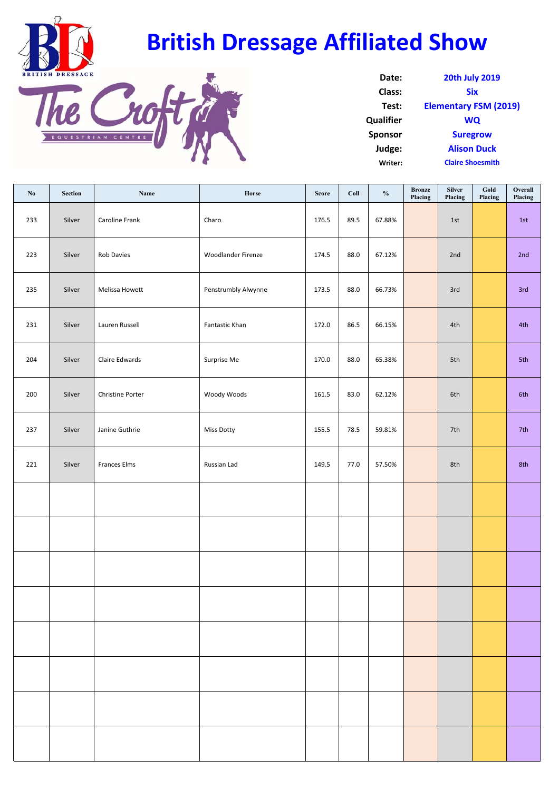



| Date:            | <b>20th July 2019</b>        |
|------------------|------------------------------|
| Class:           | <b>Six</b>                   |
| Test:            | <b>Elementary FSM (2019)</b> |
| <b>Qualifier</b> | <b>WQ</b>                    |
| <b>Sponsor</b>   | <b>Suregrow</b>              |
| Judge:           | <b>Alison Duck</b>           |
| Writer:          | <b>Claire Shoesmith</b>      |

| $\mathbf{N}\mathbf{0}$ | Section | Name                    | Horse               | <b>Score</b> | Coll | $\mathbf{0}_{\mathbf{0}}^{\prime}$ | <b>Bronze</b><br>Placing | Silver<br>Placing | $\mathbf{Gold}\xspace$<br>Placing | Overall<br>Placing |
|------------------------|---------|-------------------------|---------------------|--------------|------|------------------------------------|--------------------------|-------------------|-----------------------------------|--------------------|
| 233                    | Silver  | Caroline Frank          | Charo               | 176.5        | 89.5 | 67.88%                             |                          | 1st               |                                   | 1st                |
| 223                    | Silver  | Rob Davies              | Woodlander Firenze  | 174.5        | 88.0 | 67.12%                             |                          | 2nd               |                                   | 2nd                |
| 235                    | Silver  | Melissa Howett          | Penstrumbly Alwynne | 173.5        | 88.0 | 66.73%                             |                          | 3rd               |                                   | 3rd                |
| 231                    | Silver  | Lauren Russell          | Fantastic Khan      | 172.0        | 86.5 | 66.15%                             |                          | 4th               |                                   | 4th                |
| 204                    | Silver  | Claire Edwards          | Surprise Me         | 170.0        | 88.0 | 65.38%                             |                          | 5th               |                                   | 5th                |
| 200                    | Silver  | <b>Christine Porter</b> | Woody Woods         | 161.5        | 83.0 | 62.12%                             |                          | 6th               |                                   | 6th                |
| 237                    | Silver  | Janine Guthrie          | <b>Miss Dotty</b>   | 155.5        | 78.5 | 59.81%                             |                          | 7th               |                                   | 7th                |
| 221                    | Silver  | Frances Elms            | Russian Lad         | 149.5        | 77.0 | 57.50%                             |                          | 8th               |                                   | 8th                |
|                        |         |                         |                     |              |      |                                    |                          |                   |                                   |                    |
|                        |         |                         |                     |              |      |                                    |                          |                   |                                   |                    |
|                        |         |                         |                     |              |      |                                    |                          |                   |                                   |                    |
|                        |         |                         |                     |              |      |                                    |                          |                   |                                   |                    |
|                        |         |                         |                     |              |      |                                    |                          |                   |                                   |                    |
|                        |         |                         |                     |              |      |                                    |                          |                   |                                   |                    |
|                        |         |                         |                     |              |      |                                    |                          |                   |                                   |                    |
|                        |         |                         |                     |              |      |                                    |                          |                   |                                   |                    |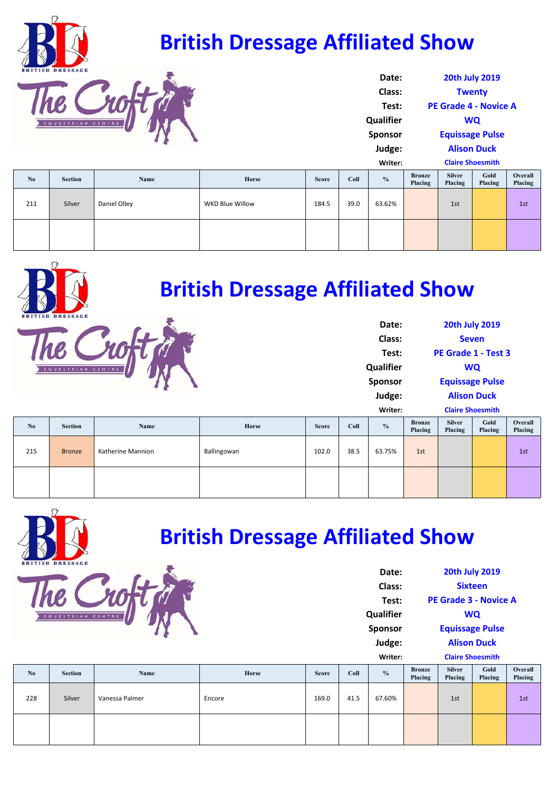|     | <b>British Dressage Affiliated Show</b><br><b>BRITISH DRESSAGE</b> |              |                        |              |         |                  |                          |                              |                    |                    |  |
|-----|--------------------------------------------------------------------|--------------|------------------------|--------------|---------|------------------|--------------------------|------------------------------|--------------------|--------------------|--|
|     |                                                                    |              |                        |              |         | Date:            |                          | <b>20th July 2019</b>        |                    |                    |  |
|     |                                                                    |              |                        |              |         | Class:           |                          | <b>Twenty</b>                |                    |                    |  |
|     |                                                                    |              |                        |              |         |                  |                          | <b>PE Grade 4 - Novice A</b> |                    |                    |  |
|     | EQUESTRIAN CENTI                                                   |              |                        |              |         | <b>Qualifier</b> |                          |                              | <b>WQ</b>          |                    |  |
|     |                                                                    |              |                        |              |         | <b>Sponsor</b>   |                          | <b>Equissage Pulse</b>       |                    |                    |  |
|     |                                                                    |              |                        |              |         | Judge:           |                          |                              | <b>Alison Duck</b> |                    |  |
|     |                                                                    |              |                        |              | Writer: |                  |                          | <b>Claire Shoesmith</b>      |                    |                    |  |
| No  | <b>Section</b>                                                     | Name         | <b>Horse</b>           | <b>Score</b> | Coll    | $\frac{0}{0}$    | <b>Bronze</b><br>Placing | <b>Silver</b><br>Placing     | Gold<br>Placing    | Overall<br>Placing |  |
| 211 | Silver                                                             | Daniel Olley | <b>WKD Blue Willow</b> | 184.5        | 39.0    | 63.62%           |                          | 1st                          |                    | 1st                |  |
|     |                                                                    |              |                        |              |         |                  |                          |                              |                    |                    |  |



**Date:**

|     | EQUESTRIAN CENTRE |                   |             |              |      | Class:<br>Test:<br>Qualifier<br>Sponsor<br>Judge:<br>Writer: |                          | <b>Claire Shoesmith</b>  | <b>Seven</b><br>PE Grade 1 - Test 3<br><b>WQ</b><br><b>Equissage Pulse</b><br><b>Alison Duck</b> |               |
|-----|-------------------|-------------------|-------------|--------------|------|--------------------------------------------------------------|--------------------------|--------------------------|--------------------------------------------------------------------------------------------------|---------------|
| No  | <b>Section</b>    | Name              | Horse       | <b>Score</b> | Coll | $\frac{0}{0}$                                                | <b>Bronze</b><br>Placing | <b>Silver</b><br>Placing | Gold<br>Placing                                                                                  | Over<br>Placi |
| 215 | <b>Bronze</b>     | Katherine Mannion | Ballingowan | 102.0        | 38.5 | 63.75%                                                       | 1st                      |                          |                                                                                                  | 1st           |
|     |                   |                   |             |              |      |                                                              |                          |                          |                                                                                                  |               |

 $\frac{1}{\sqrt{n}}$ 



#### **British Dressage Affiliated Show**

| <b>20th July 2019</b><br>Date:     |                  |                        |                              |                |    |  |  |
|------------------------------------|------------------|------------------------|------------------------------|----------------|----|--|--|
|                                    | Class:           |                        |                              | <b>Sixteen</b> |    |  |  |
|                                    | Test:            |                        | <b>PE Grade 3 - Novice A</b> |                |    |  |  |
|                                    | <b>Qualifier</b> | WQ                     |                              |                |    |  |  |
|                                    | <b>Sponsor</b>   | <b>Equissage Pulse</b> |                              |                |    |  |  |
|                                    | Judge:           | <b>Alison Duck</b>     |                              |                |    |  |  |
| <b>Claire Shoesmith</b><br>Writer: |                  |                        |                              |                |    |  |  |
|                                    | $\mathbf{a}$     | <b>Bronze</b>          | <b>Silver</b>                | Gold           | Ov |  |  |

**Overall Placing**

**20th July 2019**

| N <sub>0</sub> | Section | Name           | Horse  | <b>Score</b> | Coll | $\frac{6}{6}$ | <b>Bronze</b><br>Placing | <b>Silver</b><br>Placing | Gold<br>Placing | Overall<br>Placing |
|----------------|---------|----------------|--------|--------------|------|---------------|--------------------------|--------------------------|-----------------|--------------------|
| 228            | Silver  | Vanessa Palmer | Encore | 169.0        | 41.5 | 67.60%        |                          | 1st                      |                 | 1st                |
|                |         |                |        |              |      |               |                          |                          |                 |                    |